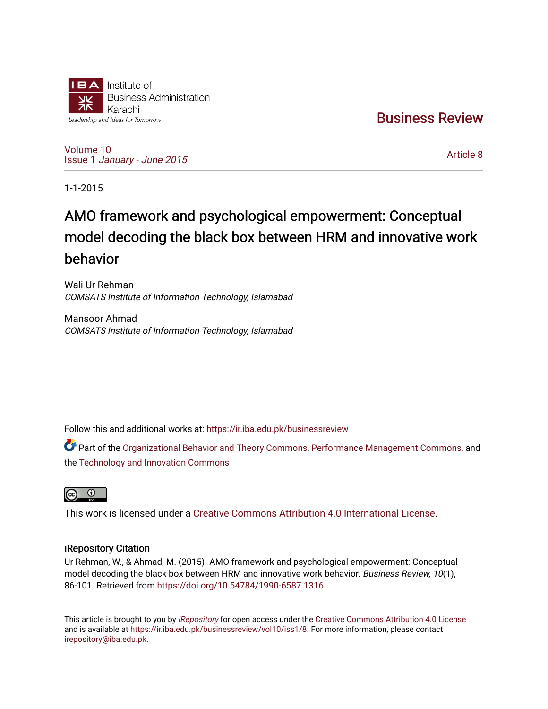

[Business Review](https://ir.iba.edu.pk/businessreview) 

[Volume 10](https://ir.iba.edu.pk/businessreview/vol10) Issue 1 [January - June 2015](https://ir.iba.edu.pk/businessreview/vol10/iss1) 

[Article 8](https://ir.iba.edu.pk/businessreview/vol10/iss1/8) 

1-1-2015

# AMO framework and psychological empowerment: Conceptual model decoding the black box between HRM and innovative work behavior

Wali Ur Rehman COMSATS Institute of Information Technology, Islamabad

Mansoor Ahmad COMSATS Institute of Information Technology, Islamabad

Follow this and additional works at: [https://ir.iba.edu.pk/businessreview](https://ir.iba.edu.pk/businessreview?utm_source=ir.iba.edu.pk%2Fbusinessreview%2Fvol10%2Fiss1%2F8&utm_medium=PDF&utm_campaign=PDFCoverPages) 

Part of the [Organizational Behavior and Theory Commons,](http://network.bepress.com/hgg/discipline/639?utm_source=ir.iba.edu.pk%2Fbusinessreview%2Fvol10%2Fiss1%2F8&utm_medium=PDF&utm_campaign=PDFCoverPages) [Performance Management Commons,](http://network.bepress.com/hgg/discipline/1256?utm_source=ir.iba.edu.pk%2Fbusinessreview%2Fvol10%2Fiss1%2F8&utm_medium=PDF&utm_campaign=PDFCoverPages) and the [Technology and Innovation Commons](http://network.bepress.com/hgg/discipline/644?utm_source=ir.iba.edu.pk%2Fbusinessreview%2Fvol10%2Fiss1%2F8&utm_medium=PDF&utm_campaign=PDFCoverPages)



This work is licensed under a [Creative Commons Attribution 4.0 International License](https://creativecommons.org/licenses/by/4.0/).

# iRepository Citation

Ur Rehman, W., & Ahmad, M. (2015). AMO framework and psychological empowerment: Conceptual model decoding the black box between HRM and innovative work behavior. Business Review, 10(1), 86-101. Retrieved from <https://doi.org/10.54784/1990-6587.1316>

This article is brought to you by [iRepository](https://ir.iba.edu.pk/) for open access under the Creative Commons Attribution 4.0 License and is available at [https://ir.iba.edu.pk/businessreview/vol10/iss1/8.](https://ir.iba.edu.pk/businessreview/vol10/iss1/8) For more information, please contact [irepository@iba.edu.pk.](mailto:irepository@iba.edu.pk)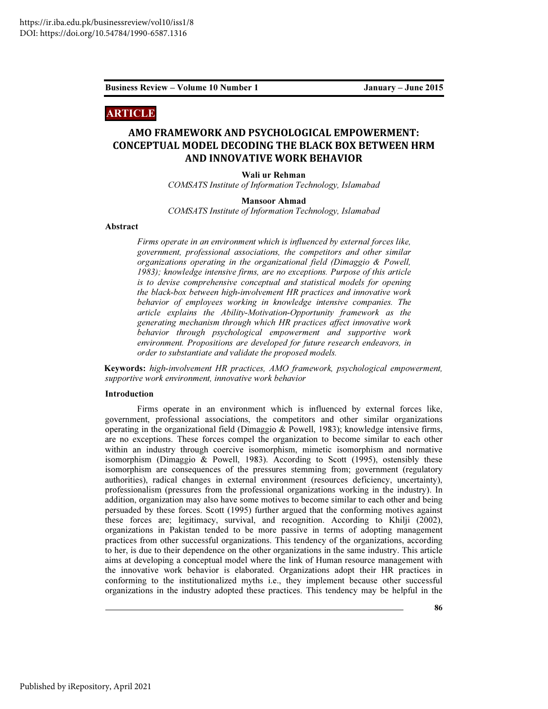## ARTICLE

# AMO FRAMEWORK AND PSYCHOLOGICAL EMPOWERMENT: CONCEPTUAL MODEL DECODING THE BLACK BOX BETWEEN HRM AND INNOVATIVE WORK BEHAVIOR

Wali ur Rehman

*COMSATS Institute of Information Technology, Islamabad* 

#### Mansoor Ahmad

*COMSATS Institute of Information Technology, Islamabad* 

### Abstract

*Firms operate in an environment which is influenced by external forces like, government, professional associations, the competitors and other similar organizations operating in the organizational field (Dimaggio & Powell, 1983); knowledge intensive firms, are no exceptions. Purpose of this article is to devise comprehensive conceptual and statistical models for opening the black-box between high-involvement HR practices and innovative work behavior of employees working in knowledge intensive companies. The article explains the Ability-Motivation-Opportunity framework as the generating mechanism through which HR practices affect innovative work behavior through psychological empowerment and supportive work environment. Propositions are developed for future research endeavors, in order to substantiate and validate the proposed models.* 

Keywords: *high-involvement HR practices, AMO framework, psychological empowerment, supportive work environment, innovative work behavior*

#### Introduction

Firms operate in an environment which is influenced by external forces like, government, professional associations, the competitors and other similar organizations operating in the organizational field (Dimaggio  $&$  Powell, 1983); knowledge intensive firms, are no exceptions. These forces compel the organization to become similar to each other within an industry through coercive isomorphism, mimetic isomorphism and normative isomorphism (Dimaggio & Powell, 1983). According to Scott (1995), ostensibly these isomorphism are consequences of the pressures stemming from; government (regulatory authorities), radical changes in external environment (resources deficiency, uncertainty), professionalism (pressures from the professional organizations working in the industry). In addition, organization may also have some motives to become similar to each other and being persuaded by these forces. Scott (1995) further argued that the conforming motives against these forces are; legitimacy, survival, and recognition. According to Khilji (2002), organizations in Pakistan tended to be more passive in terms of adopting management practices from other successful organizations. This tendency of the organizations, according to her, is due to their dependence on the other organizations in the same industry. This article aims at developing a conceptual model where the link of Human resource management with the innovative work behavior is elaborated. Organizations adopt their HR practices in conforming to the institutionalized myths i.e., they implement because other successful organizations in the industry adopted these practices. This tendency may be helpful in the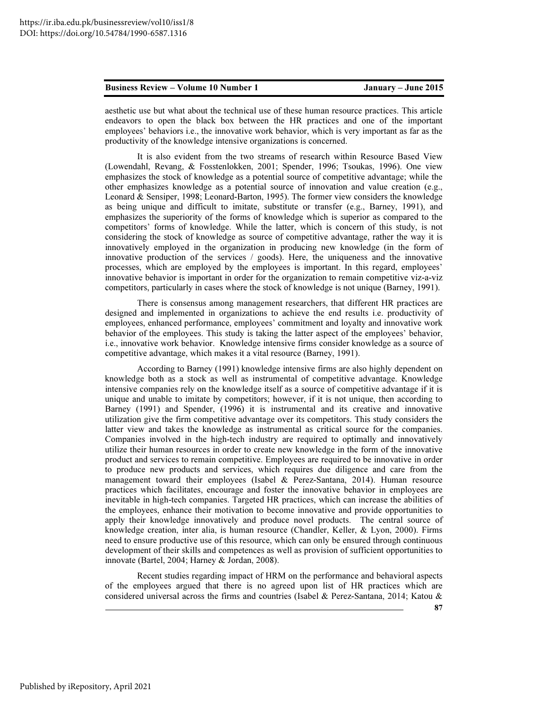aesthetic use but what about the technical use of these human resource practices. This article endeavors to open the black box between the HR practices and one of the important employees' behaviors i.e., the innovative work behavior, which is very important as far as the productivity of the knowledge intensive organizations is concerned.

It is also evident from the two streams of research within Resource Based View (Lowendahl, Revang, & Fosstenlokken, 2001; Spender, 1996; Tsoukas, 1996). One view emphasizes the stock of knowledge as a potential source of competitive advantage; while the other emphasizes knowledge as a potential source of innovation and value creation (e.g., Leonard & Sensiper, 1998; Leonard-Barton, 1995). The former view considers the knowledge as being unique and difficult to imitate, substitute or transfer (e.g., Barney, 1991), and emphasizes the superiority of the forms of knowledge which is superior as compared to the competitors' forms of knowledge. While the latter, which is concern of this study, is not considering the stock of knowledge as source of competitive advantage, rather the way it is innovatively employed in the organization in producing new knowledge (in the form of innovative production of the services  $\ell$  goods). Here, the uniqueness and the innovative processes, which are employed by the employees is important. In this regard, employees' innovative behavior is important in order for the organization to remain competitive viz-a-viz competitors, particularly in cases where the stock of knowledge is not unique (Barney, 1991).

There is consensus among management researchers, that different HR practices are designed and implemented in organizations to achieve the end results i.e. productivity of employees, enhanced performance, employees' commitment and loyalty and innovative work behavior of the employees. This study is taking the latter aspect of the employees' behavior, i.e., innovative work behavior. Knowledge intensive firms consider knowledge as a source of competitive advantage, which makes it a vital resource (Barney, 1991).

According to Barney (1991) knowledge intensive firms are also highly dependent on knowledge both as a stock as well as instrumental of competitive advantage. Knowledge intensive companies rely on the knowledge itself as a source of competitive advantage if it is unique and unable to imitate by competitors; however, if it is not unique, then according to Barney (1991) and Spender, (1996) it is instrumental and its creative and innovative utilization give the firm competitive advantage over its competitors. This study considers the latter view and takes the knowledge as instrumental as critical source for the companies. Companies involved in the high-tech industry are required to optimally and innovatively utilize their human resources in order to create new knowledge in the form of the innovative product and services to remain competitive. Employees are required to be innovative in order to produce new products and services, which requires due diligence and care from the management toward their employees (Isabel & Perez-Santana, 2014). Human resource practices which facilitates, encourage and foster the innovative behavior in employees are inevitable in high-tech companies. Targeted HR practices, which can increase the abilities of the employees, enhance their motivation to become innovative and provide opportunities to apply their knowledge innovatively and produce novel products. The central source of knowledge creation, inter alia, is human resource (Chandler, Keller, & Lyon, 2000). Firms need to ensure productive use of this resource, which can only be ensured through continuous development of their skills and competences as well as provision of sufficient opportunities to innovate (Bartel, 2004; Harney & Jordan, 2008).

Recent studies regarding impact of HRM on the performance and behavioral aspects of the employees argued that there is no agreed upon list of HR practices which are considered universal across the firms and countries (Isabel & Perez-Santana, 2014; Katou &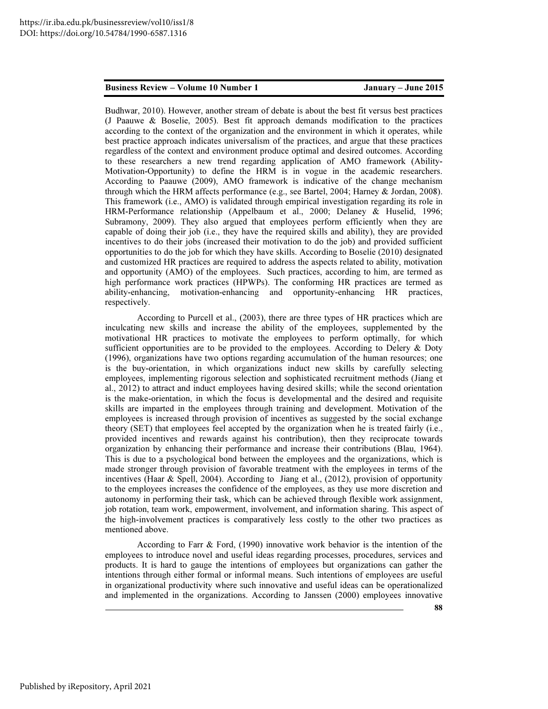Budhwar, 2010). However, another stream of debate is about the best fit versus best practices (J Paauwe & Boselie, 2005). Best fit approach demands modification to the practices according to the context of the organization and the environment in which it operates, while best practice approach indicates universalism of the practices, and argue that these practices regardless of the context and environment produce optimal and desired outcomes. According to these researchers a new trend regarding application of AMO framework (Ability-Motivation-Opportunity) to define the HRM is in vogue in the academic researchers. According to Paauwe (2009), AMO framework is indicative of the change mechanism through which the HRM affects performance (e.g., see Bartel, 2004; Harney & Jordan, 2008). This framework (i.e., AMO) is validated through empirical investigation regarding its role in HRM-Performance relationship (Appelbaum et al., 2000; Delaney & Huselid, 1996; Subramony, 2009). They also argued that employees perform efficiently when they are capable of doing their job (i.e., they have the required skills and ability), they are provided incentives to do their jobs (increased their motivation to do the job) and provided sufficient opportunities to do the job for which they have skills. According to Boselie (2010) designated and customized HR practices are required to address the aspects related to ability, motivation and opportunity (AMO) of the employees. Such practices, according to him, are termed as high performance work practices (HPWPs). The conforming HR practices are termed as ability-enhancing, motivation-enhancing and opportunity-enhancing HR practices, respectively.

According to Purcell et al., (2003), there are three types of HR practices which are inculcating new skills and increase the ability of the employees, supplemented by the motivational HR practices to motivate the employees to perform optimally, for which sufficient opportunities are to be provided to the employees. According to Delery & Doty (1996), organizations have two options regarding accumulation of the human resources; one is the buy-orientation, in which organizations induct new skills by carefully selecting employees, implementing rigorous selection and sophisticated recruitment methods (Jiang et al., 2012) to attract and induct employees having desired skills; while the second orientation is the make-orientation, in which the focus is developmental and the desired and requisite skills are imparted in the employees through training and development. Motivation of the employees is increased through provision of incentives as suggested by the social exchange theory (SET) that employees feel accepted by the organization when he is treated fairly (i.e., provided incentives and rewards against his contribution), then they reciprocate towards organization by enhancing their performance and increase their contributions (Blau, 1964). This is due to a psychological bond between the employees and the organizations, which is made stronger through provision of favorable treatment with the employees in terms of the incentives (Haar & Spell, 2004). According to Jiang et al., (2012), provision of opportunity to the employees increases the confidence of the employees, as they use more discretion and autonomy in performing their task, which can be achieved through flexible work assignment, job rotation, team work, empowerment, involvement, and information sharing. This aspect of the high-involvement practices is comparatively less costly to the other two practices as mentioned above.

According to Farr & Ford, (1990) innovative work behavior is the intention of the employees to introduce novel and useful ideas regarding processes, procedures, services and products. It is hard to gauge the intentions of employees but organizations can gather the intentions through either formal or informal means. Such intentions of employees are useful in organizational productivity where such innovative and useful ideas can be operationalized and implemented in the organizations. According to Janssen (2000) employees innovative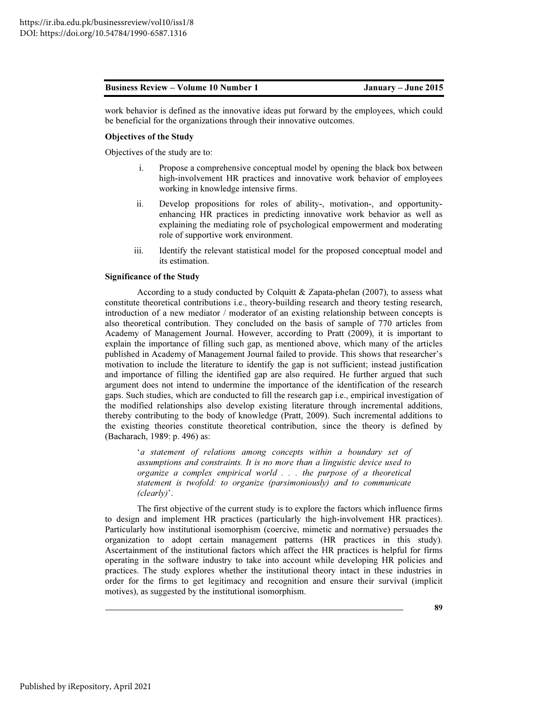work behavior is defined as the innovative ideas put forward by the employees, which could be beneficial for the organizations through their innovative outcomes.

#### Objectives of the Study

Objectives of the study are to:

- i. Propose a comprehensive conceptual model by opening the black box between high-involvement HR practices and innovative work behavior of employees working in knowledge intensive firms.
- ii. Develop propositions for roles of ability-, motivation-, and opportunityenhancing HR practices in predicting innovative work behavior as well as explaining the mediating role of psychological empowerment and moderating role of supportive work environment.
- iii. Identify the relevant statistical model for the proposed conceptual model and its estimation.

#### Significance of the Study

According to a study conducted by Colquitt & Zapata-phelan (2007), to assess what constitute theoretical contributions i.e., theory-building research and theory testing research, introduction of a new mediator / moderator of an existing relationship between concepts is also theoretical contribution. They concluded on the basis of sample of 770 articles from Academy of Management Journal. However, according to Pratt (2009), it is important to explain the importance of filling such gap, as mentioned above, which many of the articles published in Academy of Management Journal failed to provide. This shows that researcher's motivation to include the literature to identify the gap is not sufficient; instead justification and importance of filling the identified gap are also required. He further argued that such argument does not intend to undermine the importance of the identification of the research gaps. Such studies, which are conducted to fill the research gap i.e., empirical investigation of the modified relationships also develop existing literature through incremental additions, thereby contributing to the body of knowledge (Pratt, 2009). Such incremental additions to the existing theories constitute theoretical contribution, since the theory is defined by (Bacharach, 1989: p. 496) as:

'*a statement of relations among concepts within a boundary set of assumptions and constraints. It is no more than a linguistic device used to organize a complex empirical world . . . the purpose of a theoretical statement is twofold: to organize (parsimoniously) and to communicate (clearly)*'.

The first objective of the current study is to explore the factors which influence firms to design and implement HR practices (particularly the high-involvement HR practices). Particularly how institutional isomorphism (coercive, mimetic and normative) persuades the organization to adopt certain management patterns (HR practices in this study). Ascertainment of the institutional factors which affect the HR practices is helpful for firms operating in the software industry to take into account while developing HR policies and practices. The study explores whether the institutional theory intact in these industries in order for the firms to get legitimacy and recognition and ensure their survival (implicit motives), as suggested by the institutional isomorphism.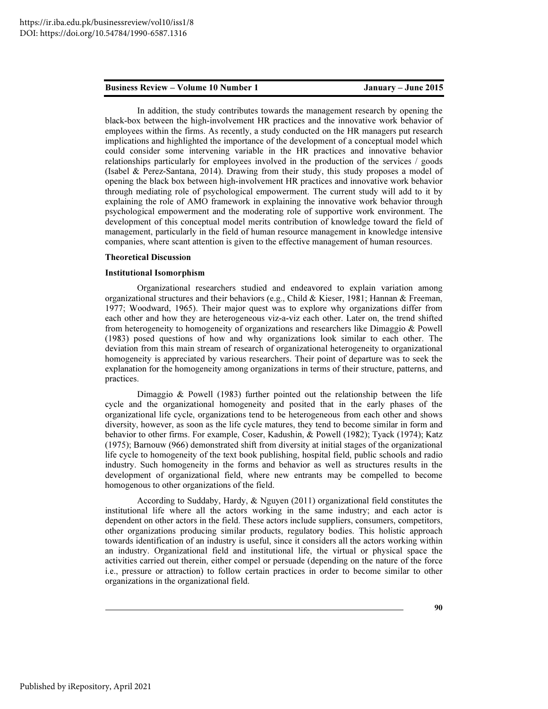In addition, the study contributes towards the management research by opening the black-box between the high-involvement HR practices and the innovative work behavior of employees within the firms. As recently, a study conducted on the HR managers put research implications and highlighted the importance of the development of a conceptual model which could consider some intervening variable in the HR practices and innovative behavior relationships particularly for employees involved in the production of the services / goods (Isabel & Perez-Santana, 2014). Drawing from their study, this study proposes a model of opening the black box between high-involvement HR practices and innovative work behavior through mediating role of psychological empowerment. The current study will add to it by explaining the role of AMO framework in explaining the innovative work behavior through psychological empowerment and the moderating role of supportive work environment. The development of this conceptual model merits contribution of knowledge toward the field of management, particularly in the field of human resource management in knowledge intensive companies, where scant attention is given to the effective management of human resources.

#### Theoretical Discussion

#### Institutional Isomorphism

Organizational researchers studied and endeavored to explain variation among organizational structures and their behaviors (e.g., Child & Kieser, 1981; Hannan & Freeman, 1977; Woodward, 1965). Their major quest was to explore why organizations differ from each other and how they are heterogeneous viz-a-viz each other. Later on, the trend shifted from heterogeneity to homogeneity of organizations and researchers like Dimaggio & Powell (1983) posed questions of how and why organizations look similar to each other. The deviation from this main stream of research of organizational heterogeneity to organizational homogeneity is appreciated by various researchers. Their point of departure was to seek the explanation for the homogeneity among organizations in terms of their structure, patterns, and practices.

 Dimaggio & Powell (1983) further pointed out the relationship between the life cycle and the organizational homogeneity and posited that in the early phases of the organizational life cycle, organizations tend to be heterogeneous from each other and shows diversity, however, as soon as the life cycle matures, they tend to become similar in form and behavior to other firms. For example, Coser, Kadushin, & Powell (1982); Tyack (1974); Katz (1975); Barnouw (966) demonstrated shift from diversity at initial stages of the organizational life cycle to homogeneity of the text book publishing, hospital field, public schools and radio industry. Such homogeneity in the forms and behavior as well as structures results in the development of organizational field, where new entrants may be compelled to become homogenous to other organizations of the field.

According to Suddaby, Hardy, & Nguyen (2011) organizational field constitutes the institutional life where all the actors working in the same industry; and each actor is dependent on other actors in the field. These actors include suppliers, consumers, competitors, other organizations producing similar products, regulatory bodies. This holistic approach towards identification of an industry is useful, since it considers all the actors working within an industry. Organizational field and institutional life, the virtual or physical space the activities carried out therein, either compel or persuade (depending on the nature of the force i.e., pressure or attraction) to follow certain practices in order to become similar to other organizations in the organizational field.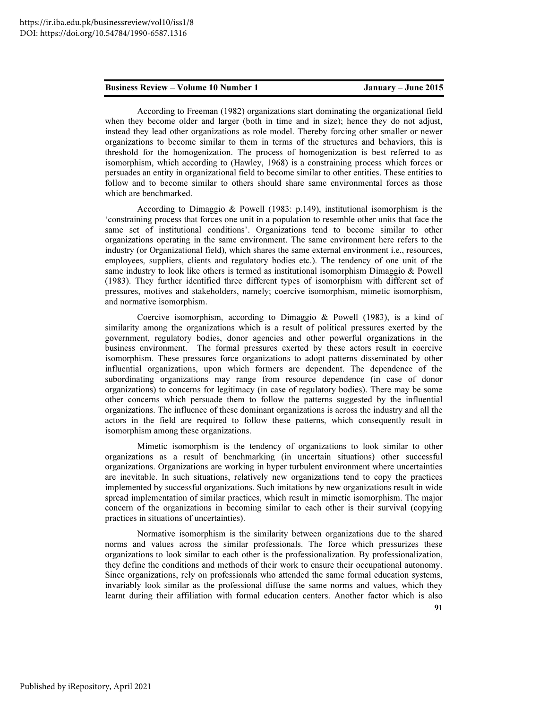According to Freeman (1982) organizations start dominating the organizational field when they become older and larger (both in time and in size); hence they do not adjust, instead they lead other organizations as role model. Thereby forcing other smaller or newer organizations to become similar to them in terms of the structures and behaviors, this is threshold for the homogenization. The process of homogenization is best referred to as isomorphism, which according to (Hawley, 1968) is a constraining process which forces or persuades an entity in organizational field to become similar to other entities. These entities to follow and to become similar to others should share same environmental forces as those which are benchmarked.

According to Dimaggio & Powell (1983: p.149), institutional isomorphism is the 'constraining process that forces one unit in a population to resemble other units that face the same set of institutional conditions'. Organizations tend to become similar to other organizations operating in the same environment. The same environment here refers to the industry (or Organizational field), which shares the same external environment i.e., resources, employees, suppliers, clients and regulatory bodies etc.). The tendency of one unit of the same industry to look like others is termed as institutional isomorphism Dimaggio & Powell (1983). They further identified three different types of isomorphism with different set of pressures, motives and stakeholders, namely; coercive isomorphism, mimetic isomorphism, and normative isomorphism.

Coercive isomorphism, according to Dimaggio & Powell (1983), is a kind of similarity among the organizations which is a result of political pressures exerted by the government, regulatory bodies, donor agencies and other powerful organizations in the business environment. The formal pressures exerted by these actors result in coercive isomorphism. These pressures force organizations to adopt patterns disseminated by other influential organizations, upon which formers are dependent. The dependence of the subordinating organizations may range from resource dependence (in case of donor organizations) to concerns for legitimacy (in case of regulatory bodies). There may be some other concerns which persuade them to follow the patterns suggested by the influential organizations. The influence of these dominant organizations is across the industry and all the actors in the field are required to follow these patterns, which consequently result in isomorphism among these organizations.

Mimetic isomorphism is the tendency of organizations to look similar to other organizations as a result of benchmarking (in uncertain situations) other successful organizations. Organizations are working in hyper turbulent environment where uncertainties are inevitable. In such situations, relatively new organizations tend to copy the practices implemented by successful organizations. Such imitations by new organizations result in wide spread implementation of similar practices, which result in mimetic isomorphism. The major concern of the organizations in becoming similar to each other is their survival (copying practices in situations of uncertainties).

Normative isomorphism is the similarity between organizations due to the shared norms and values across the similar professionals. The force which pressurizes these organizations to look similar to each other is the professionalization. By professionalization, they define the conditions and methods of their work to ensure their occupational autonomy. Since organizations, rely on professionals who attended the same formal education systems, invariably look similar as the professional diffuse the same norms and values, which they learnt during their affiliation with formal education centers. Another factor which is also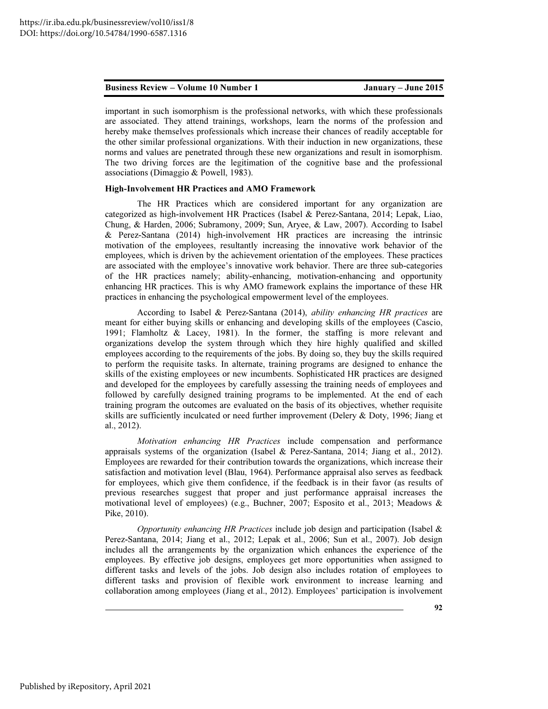important in such isomorphism is the professional networks, with which these professionals are associated. They attend trainings, workshops, learn the norms of the profession and hereby make themselves professionals which increase their chances of readily acceptable for the other similar professional organizations. With their induction in new organizations, these norms and values are penetrated through these new organizations and result in isomorphism. The two driving forces are the legitimation of the cognitive base and the professional associations (Dimaggio & Powell, 1983).

#### High-Involvement HR Practices and AMO Framework

The HR Practices which are considered important for any organization are categorized as high-involvement HR Practices (Isabel & Perez-Santana, 2014; Lepak, Liao, Chung, & Harden, 2006; Subramony, 2009; Sun, Aryee, & Law, 2007). According to Isabel & Perez-Santana (2014) high-involvement HR practices are increasing the intrinsic motivation of the employees, resultantly increasing the innovative work behavior of the employees, which is driven by the achievement orientation of the employees. These practices are associated with the employee's innovative work behavior. There are three sub-categories of the HR practices namely; ability-enhancing, motivation-enhancing and opportunity enhancing HR practices. This is why AMO framework explains the importance of these HR practices in enhancing the psychological empowerment level of the employees.

According to Isabel & Perez-Santana (2014), *ability enhancing HR practices* are meant for either buying skills or enhancing and developing skills of the employees (Cascio, 1991; Flamholtz & Lacey, 1981). In the former, the staffing is more relevant and organizations develop the system through which they hire highly qualified and skilled employees according to the requirements of the jobs. By doing so, they buy the skills required to perform the requisite tasks. In alternate, training programs are designed to enhance the skills of the existing employees or new incumbents. Sophisticated HR practices are designed and developed for the employees by carefully assessing the training needs of employees and followed by carefully designed training programs to be implemented. At the end of each training program the outcomes are evaluated on the basis of its objectives, whether requisite skills are sufficiently inculcated or need further improvement (Delery & Doty, 1996; Jiang et al., 2012).

*Motivation enhancing HR Practices* include compensation and performance appraisals systems of the organization (Isabel & Perez-Santana, 2014; Jiang et al., 2012). Employees are rewarded for their contribution towards the organizations, which increase their satisfaction and motivation level (Blau, 1964). Performance appraisal also serves as feedback for employees, which give them confidence, if the feedback is in their favor (as results of previous researches suggest that proper and just performance appraisal increases the motivational level of employees) (e.g., Buchner, 2007; Esposito et al., 2013; Meadows & Pike, 2010).

*Opportunity enhancing HR Practices* include job design and participation (Isabel & Perez-Santana, 2014; Jiang et al., 2012; Lepak et al., 2006; Sun et al., 2007). Job design includes all the arrangements by the organization which enhances the experience of the employees. By effective job designs, employees get more opportunities when assigned to different tasks and levels of the jobs. Job design also includes rotation of employees to different tasks and provision of flexible work environment to increase learning and collaboration among employees (Jiang et al., 2012). Employees' participation is involvement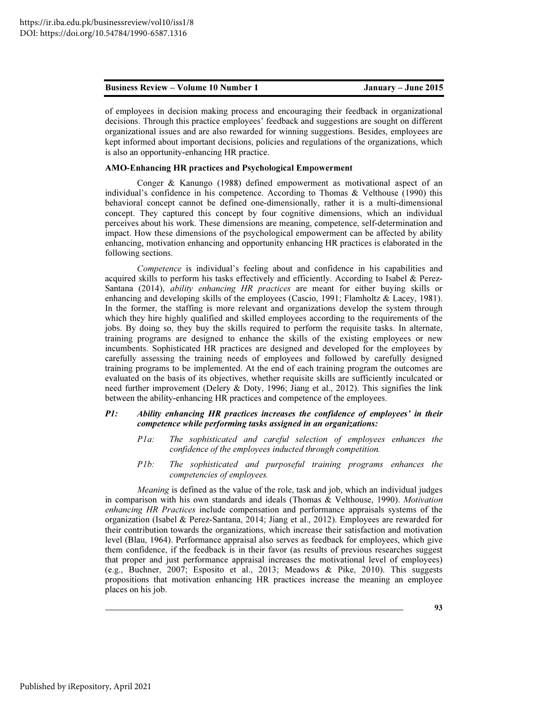of employees in decision making process and encouraging their feedback in organizational decisions. Through this practice employees' feedback and suggestions are sought on different organizational issues and are also rewarded for winning suggestions. Besides, employees are kept informed about important decisions, policies and regulations of the organizations, which is also an opportunity-enhancing HR practice.

#### AMO-Enhancing HR practices and Psychological Empowerment

 Conger & Kanungo (1988) defined empowerment as motivational aspect of an individual's confidence in his competence. According to Thomas & Velthouse (1990) this behavioral concept cannot be defined one-dimensionally, rather it is a multi-dimensional concept. They captured this concept by four cognitive dimensions, which an individual perceives about his work. These dimensions are meaning, competence, self-determination and impact. How these dimensions of the psychological empowerment can be affected by ability enhancing, motivation enhancing and opportunity enhancing HR practices is elaborated in the following sections.

*Competence* is individual's feeling about and confidence in his capabilities and acquired skills to perform his tasks effectively and efficiently. According to Isabel & Perez-Santana (2014), *ability enhancing HR practices* are meant for either buying skills or enhancing and developing skills of the employees (Cascio, 1991; Flamholtz & Lacey, 1981). In the former, the staffing is more relevant and organizations develop the system through which they hire highly qualified and skilled employees according to the requirements of the jobs. By doing so, they buy the skills required to perform the requisite tasks. In alternate, training programs are designed to enhance the skills of the existing employees or new incumbents. Sophisticated HR practices are designed and developed for the employees by carefully assessing the training needs of employees and followed by carefully designed training programs to be implemented. At the end of each training program the outcomes are evaluated on the basis of its objectives, whether requisite skills are sufficiently inculcated or need further improvement (Delery & Doty, 1996; Jiang et al., 2012). This signifies the link between the ability-enhancing HR practices and competence of the employees.

#### P1: Ability enhancing HR practices increases the confidence of employees' in their competence while performing tasks assigned in an organizations:

- *P1a: The sophisticated and careful selection of employees enhances the confidence of the employees inducted through competition.*
- *P1b: The sophisticated and purposeful training programs enhances the competencies of employees.*

*Meaning* is defined as the value of the role, task and job, which an individual judges in comparison with his own standards and ideals (Thomas & Velthouse, 1990). *Motivation enhancing HR Practices* include compensation and performance appraisals systems of the organization (Isabel & Perez-Santana, 2014; Jiang et al., 2012). Employees are rewarded for their contribution towards the organizations, which increase their satisfaction and motivation level (Blau, 1964). Performance appraisal also serves as feedback for employees, which give them confidence, if the feedback is in their favor (as results of previous researches suggest that proper and just performance appraisal increases the motivational level of employees) (e.g., Buchner, 2007; Esposito et al., 2013; Meadows & Pike, 2010). This suggests propositions that motivation enhancing HR practices increase the meaning an employee places on his job.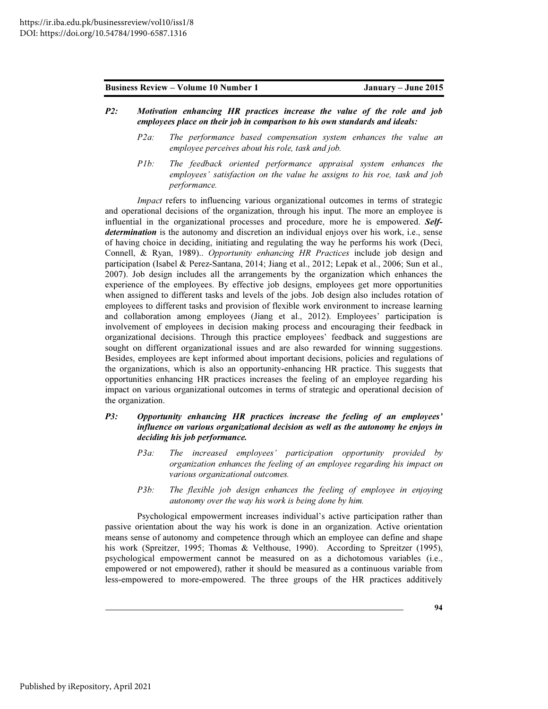- P2: Motivation enhancing HR practices increase the value of the role and job employees place on their job in comparison to his own standards and ideals:
	- *P2a: The performance based compensation system enhances the value an employee perceives about his role, task and job.*
	- *P1b: The feedback oriented performance appraisal system enhances the employees' satisfaction on the value he assigns to his roe, task and job performance.*

*Impact* refers to influencing various organizational outcomes in terms of strategic and operational decisions of the organization, through his input. The more an employee is influential in the organizational processes and procedure, more he is empowered. Selfdetermination is the autonomy and discretion an individual enjoys over his work, i.e., sense of having choice in deciding, initiating and regulating the way he performs his work (Deci, Connell, & Ryan, 1989).. *Opportunity enhancing HR Practices* include job design and participation (Isabel & Perez-Santana, 2014; Jiang et al., 2012; Lepak et al., 2006; Sun et al., 2007). Job design includes all the arrangements by the organization which enhances the experience of the employees. By effective job designs, employees get more opportunities when assigned to different tasks and levels of the jobs. Job design also includes rotation of employees to different tasks and provision of flexible work environment to increase learning and collaboration among employees (Jiang et al., 2012). Employees' participation is involvement of employees in decision making process and encouraging their feedback in organizational decisions. Through this practice employees' feedback and suggestions are sought on different organizational issues and are also rewarded for winning suggestions. Besides, employees are kept informed about important decisions, policies and regulations of the organizations, which is also an opportunity-enhancing HR practice. This suggests that opportunities enhancing HR practices increases the feeling of an employee regarding his impact on various organizational outcomes in terms of strategic and operational decision of the organization.

### P3: Opportunity enhancing HR practices increase the feeling of an employees' influence on various organizational decision as well as the autonomy he enjoys in deciding his job performance.

- *P3a: The increased employees' participation opportunity provided by organization enhances the feeling of an employee regarding his impact on various organizational outcomes.*
- *P3b: The flexible job design enhances the feeling of employee in enjoying autonomy over the way his work is being done by him.*

Psychological empowerment increases individual's active participation rather than passive orientation about the way his work is done in an organization. Active orientation means sense of autonomy and competence through which an employee can define and shape his work (Spreitzer, 1995; Thomas & Velthouse, 1990). According to Spreitzer (1995), psychological empowerment cannot be measured on as a dichotomous variables (i.e., empowered or not empowered), rather it should be measured as a continuous variable from less-empowered to more-empowered. The three groups of the HR practices additively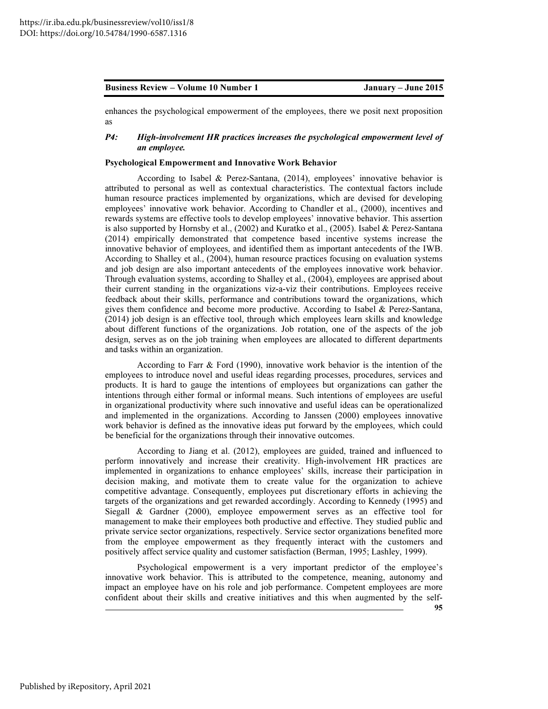enhances the psychological empowerment of the employees, there we posit next proposition as

### P4: High-involvement HR practices increases the psychological empowerment level of an employee.

#### Psychological Empowerment and Innovative Work Behavior

According to Isabel & Perez-Santana, (2014), employees' innovative behavior is attributed to personal as well as contextual characteristics. The contextual factors include human resource practices implemented by organizations, which are devised for developing employees' innovative work behavior. According to Chandler et al., (2000), incentives and rewards systems are effective tools to develop employees' innovative behavior. This assertion is also supported by Hornsby et al., (2002) and Kuratko et al., (2005). Isabel & Perez-Santana (2014) empirically demonstrated that competence based incentive systems increase the innovative behavior of employees, and identified them as important antecedents of the IWB. According to Shalley et al., (2004), human resource practices focusing on evaluation systems and job design are also important antecedents of the employees innovative work behavior. Through evaluation systems, according to Shalley et al., (2004), employees are apprised about their current standing in the organizations viz-a-viz their contributions. Employees receive feedback about their skills, performance and contributions toward the organizations, which gives them confidence and become more productive. According to Isabel & Perez-Santana, (2014) job design is an effective tool, through which employees learn skills and knowledge about different functions of the organizations. Job rotation, one of the aspects of the job design, serves as on the job training when employees are allocated to different departments and tasks within an organization.

According to Farr & Ford (1990), innovative work behavior is the intention of the employees to introduce novel and useful ideas regarding processes, procedures, services and products. It is hard to gauge the intentions of employees but organizations can gather the intentions through either formal or informal means. Such intentions of employees are useful in organizational productivity where such innovative and useful ideas can be operationalized and implemented in the organizations. According to Janssen (2000) employees innovative work behavior is defined as the innovative ideas put forward by the employees, which could be beneficial for the organizations through their innovative outcomes.

According to Jiang et al. (2012), employees are guided, trained and influenced to perform innovatively and increase their creativity. High-involvement HR practices are implemented in organizations to enhance employees' skills, increase their participation in decision making, and motivate them to create value for the organization to achieve competitive advantage. Consequently, employees put discretionary efforts in achieving the targets of the organizations and get rewarded accordingly. According to Kennedy (1995) and Siegall & Gardner (2000), employee empowerment serves as an effective tool for management to make their employees both productive and effective. They studied public and private service sector organizations, respectively. Service sector organizations benefited more from the employee empowerment as they frequently interact with the customers and positively affect service quality and customer satisfaction (Berman, 1995; Lashley, 1999).

Psychological empowerment is a very important predictor of the employee's innovative work behavior. This is attributed to the competence, meaning, autonomy and impact an employee have on his role and job performance. Competent employees are more confident about their skills and creative initiatives and this when augmented by the self-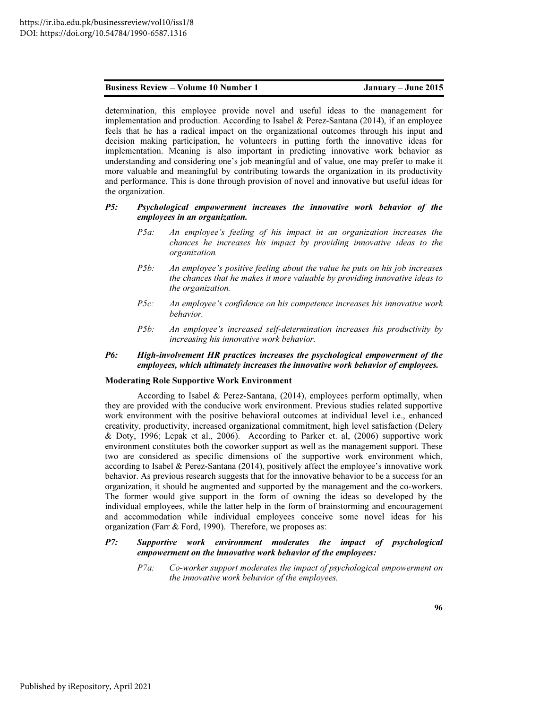determination, this employee provide novel and useful ideas to the management for implementation and production. According to Isabel & Perez-Santana  $(2014)$ , if an employee feels that he has a radical impact on the organizational outcomes through his input and decision making participation, he volunteers in putting forth the innovative ideas for implementation. Meaning is also important in predicting innovative work behavior as understanding and considering one's job meaningful and of value, one may prefer to make it more valuable and meaningful by contributing towards the organization in its productivity and performance. This is done through provision of novel and innovative but useful ideas for the organization.

#### P5: Psychological empowerment increases the innovative work behavior of the employees in an organization.

- *P5a: An employee's feeling of his impact in an organization increases the chances he increases his impact by providing innovative ideas to the organization.*
- *P5b: An employee's positive feeling about the value he puts on his job increases the chances that he makes it more valuable by providing innovative ideas to the organization.*
- *P5c: An employee's confidence on his competence increases his innovative work behavior.*
- *P5b: An employee's increased self-determination increases his productivity by increasing his innovative work behavior.*

#### P6: High-involvement HR practices increases the psychological empowerment of the employees, which ultimately increases the innovative work behavior of employees.

#### Moderating Role Supportive Work Environment

According to Isabel & Perez-Santana, (2014), employees perform optimally, when they are provided with the conducive work environment. Previous studies related supportive work environment with the positive behavioral outcomes at individual level i.e., enhanced creativity, productivity, increased organizational commitment, high level satisfaction (Delery & Doty, 1996; Lepak et al., 2006). According to Parker et. al, (2006) supportive work environment constitutes both the coworker support as well as the management support. These two are considered as specific dimensions of the supportive work environment which, according to Isabel & Perez-Santana (2014), positively affect the employee's innovative work behavior. As previous research suggests that for the innovative behavior to be a success for an organization, it should be augmented and supported by the management and the co-workers. The former would give support in the form of owning the ideas so developed by the individual employees, while the latter help in the form of brainstorming and encouragement and accommodation while individual employees conceive some novel ideas for his organization (Farr & Ford, 1990). Therefore, we proposes as:

#### P7: Supportive work environment moderates the impact of psychological empowerment on the innovative work behavior of the employees:

*P7a: Co-worker support moderates the impact of psychological empowerment on the innovative work behavior of the employees.*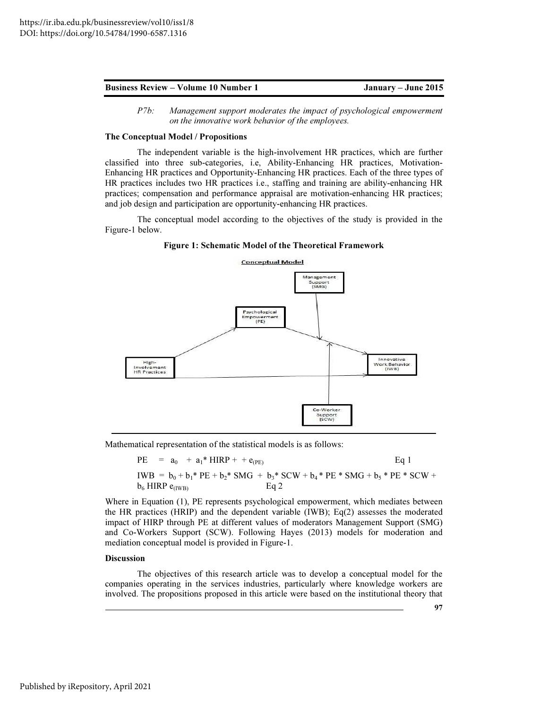*P7b: Management support moderates the impact of psychological empowerment on the innovative work behavior of the employees.* 

#### The Conceptual Model / Propositions

The independent variable is the high-involvement HR practices, which are further classified into three sub-categories, i.e, Ability-Enhancing HR practices, Motivation-Enhancing HR practices and Opportunity-Enhancing HR practices. Each of the three types of HR practices includes two HR practices i.e., staffing and training are ability-enhancing HR practices; compensation and performance appraisal are motivation-enhancing HR practices; and job design and participation are opportunity-enhancing HR practices.

The conceptual model according to the objectives of the study is provided in the Figure-1 below.

Figure 1: Schematic Model of the Theoretical Framework



Mathematical representation of the statistical models is as follows:

 $PE = a_0 + a_1 * HIRP + + e_{(PE)}$  Eq 1 IWB =  $b_0 + b_1$ <sup>\*</sup> PE +  $b_2$ <sup>\*</sup> SMG +  $b_3$ <sup>\*</sup> SCW +  $b_4$ <sup>\*</sup> PE \* SMG +  $b_5$ <sup>\*</sup> PE \* SCW +  $b_6$  HIRP equap.  $b_6$  HIRP  $e_{(IWB)}$ 

Where in Equation (1), PE represents psychological empowerment, which mediates between the HR practices (HRIP) and the dependent variable (IWB); Eq(2) assesses the moderated impact of HIRP through PE at different values of moderators Management Support (SMG) and Co-Workers Support (SCW). Following Hayes (2013) models for moderation and mediation conceptual model is provided in Figure-1.

#### **Discussion**

The objectives of this research article was to develop a conceptual model for the companies operating in the services industries, particularly where knowledge workers are involved. The propositions proposed in this article were based on the institutional theory that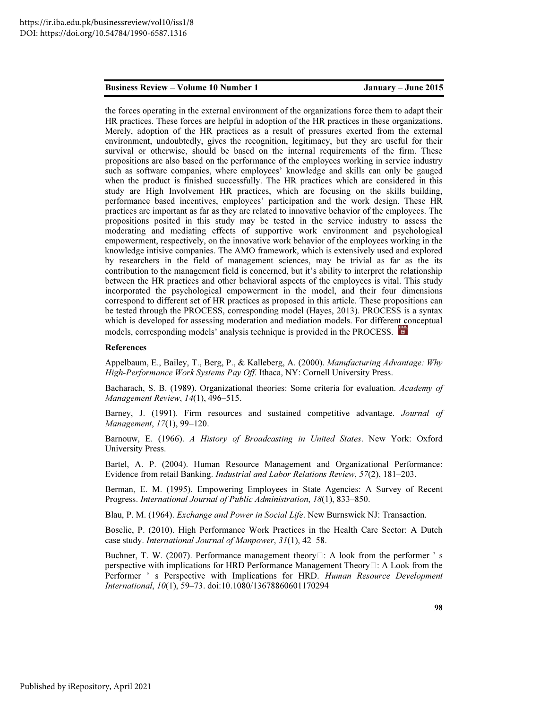the forces operating in the external environment of the organizations force them to adapt their HR practices. These forces are helpful in adoption of the HR practices in these organizations. Merely, adoption of the HR practices as a result of pressures exerted from the external environment, undoubtedly, gives the recognition, legitimacy, but they are useful for their survival or otherwise, should be based on the internal requirements of the firm. These propositions are also based on the performance of the employees working in service industry such as software companies, where employees' knowledge and skills can only be gauged when the product is finished successfully. The HR practices which are considered in this study are High Involvement HR practices, which are focusing on the skills building, performance based incentives, employees' participation and the work design. These HR practices are important as far as they are related to innovative behavior of the employees. The propositions posited in this study may be tested in the service industry to assess the moderating and mediating effects of supportive work environment and psychological empowerment, respectively, on the innovative work behavior of the employees working in the knowledge intisive companies. The AMO framework, which is extensively used and explored by researchers in the field of management sciences, may be trivial as far as the its contribution to the management field is concerned, but it's ability to interpret the relationship between the HR practices and other behavioral aspects of the employees is vital. This study incorporated the psychological empowerment in the model, and their four dimensions correspond to different set of HR practices as proposed in this article. These propositions can be tested through the PROCESS, corresponding model (Hayes, 2013). PROCESS is a syntax which is developed for assessing moderation and mediation models. For different conceptual models, corresponding models' analysis technique is provided in the PROCESS.

#### References

Appelbaum, E., Bailey, T., Berg, P., & Kalleberg, A. (2000). *Manufacturing Advantage: Why High-Performance Work Systems Pay Off*. Ithaca, NY: Cornell University Press.

Bacharach, S. B. (1989). Organizational theories: Some criteria for evaluation. *Academy of Management Review*, *14*(1), 496–515.

Barney, J. (1991). Firm resources and sustained competitive advantage. *Journal of Management*, *17*(1), 99–120.

Barnouw, E. (1966). *A History of Broadcasting in United States*. New York: Oxford University Press.

Bartel, A. P. (2004). Human Resource Management and Organizational Performance: Evidence from retail Banking. *Industrial and Labor Relations Review*, *57*(2), 181–203.

Berman, E. M. (1995). Empowering Employees in State Agencies: A Survey of Recent Progress. *International Journal of Public Administration*, *18*(1), 833–850.

Blau, P. M. (1964). *Exchange and Power in Social Life*. New Burnswick NJ: Transaction.

Boselie, P. (2010). High Performance Work Practices in the Health Care Sector: A Dutch case study. *International Journal of Manpower*, *31*(1), 42–58.

Buchner, T. W. (2007). Performance management theory  $\Box$ : A look from the performer ' s perspective with implications for HRD Performance Management Theory $\Box$ : A Look from the Performer ' s Perspective with Implications for HRD. *Human Resource Development International*, *10*(1), 59–73. doi:10.1080/13678860601170294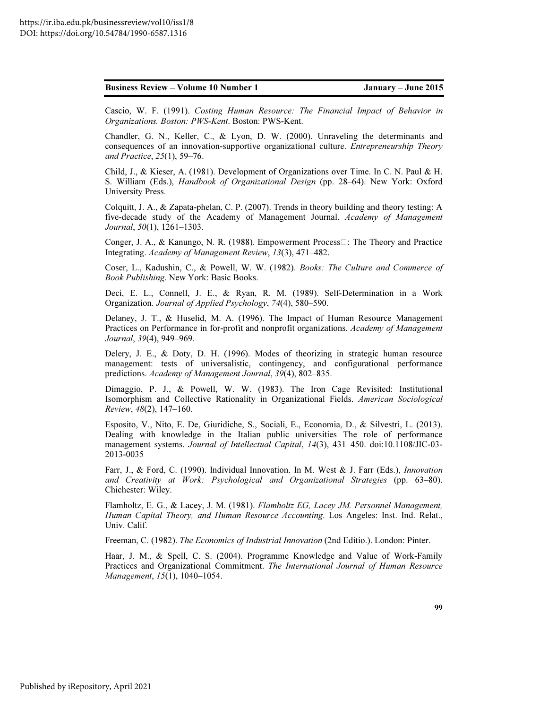Cascio, W. F. (1991). *Costing Human Resource: The Financial Impact of Behavior in Organizations. Boston: PWS-Kent*. Boston: PWS-Kent.

Chandler, G. N., Keller, C., & Lyon, D. W. (2000). Unraveling the determinants and consequences of an innovation-supportive organizational culture. *Entrepreneurship Theory and Practice*, *25*(1), 59–76.

Child, J., & Kieser, A. (1981). Development of Organizations over Time. In C. N. Paul & H. S. William (Eds.), *Handbook of Organizational Design* (pp. 28–64). New York: Oxford University Press.

Colquitt, J. A., & Zapata-phelan, C. P. (2007). Trends in theory building and theory testing: A five-decade study of the Academy of Management Journal. *Academy of Management Journal*, *50*(1), 1261–1303.

Conger, J. A., & Kanungo, N. R. (1988). Empowerment Process $\Box$ : The Theory and Practice Integrating. *Academy of Management Review*, *13*(3), 471–482.

Coser, L., Kadushin, C., & Powell, W. W. (1982). *Books: The Culture and Commerce of Book Publishing*. New York: Basic Books.

Deci, E. L., Connell, J. E., & Ryan, R. M. (1989). Self-Determination in a Work Organization. *Journal of Applied Psychology*, *74*(4), 580–590.

Delaney, J. T., & Huselid, M. A. (1996). The Impact of Human Resource Management Practices on Performance in for-profit and nonprofit organizations. *Academy of Management Journal*, *39*(4), 949–969.

Delery, J. E., & Doty, D. H. (1996). Modes of theorizing in strategic human resource management: tests of universalistic, contingency, and configurational performance predictions. *Academy of Management Journal*, *39*(4), 802–835.

Dimaggio, P. J., & Powell, W. W. (1983). The Iron Cage Revisited: Institutional Isomorphism and Collective Rationality in Organizational Fields. *American Sociological Review*, *48*(2), 147–160.

Esposito, V., Nito, E. De, Giuridiche, S., Sociali, E., Economia, D., & Silvestri, L. (2013). Dealing with knowledge in the Italian public universities The role of performance management systems. *Journal of Intellectual Capital*, *14*(3), 431–450. doi:10.1108/JIC-03- 2013-0035

Farr, J., & Ford, C. (1990). Individual Innovation. In M. West & J. Farr (Eds.), *Innovation and Creativity at Work: Psychological and Organizational Strategies* (pp. 63–80). Chichester: Wiley.

Flamholtz, E. G., & Lacey, J. M. (1981). *Flamholtz EG, Lacey JM. Personnel Management, Human Capital Theory, and Human Resource Accounting*. Los Angeles: Inst. Ind. Relat., Univ. Calif.

Freeman, C. (1982). *The Economics of Industrial Innovation* (2nd Editio.). London: Pinter.

Haar, J. M., & Spell, C. S. (2004). Programme Knowledge and Value of Work-Family Practices and Organizational Commitment. *The International Journal of Human Resource Management*, *15*(1), 1040–1054.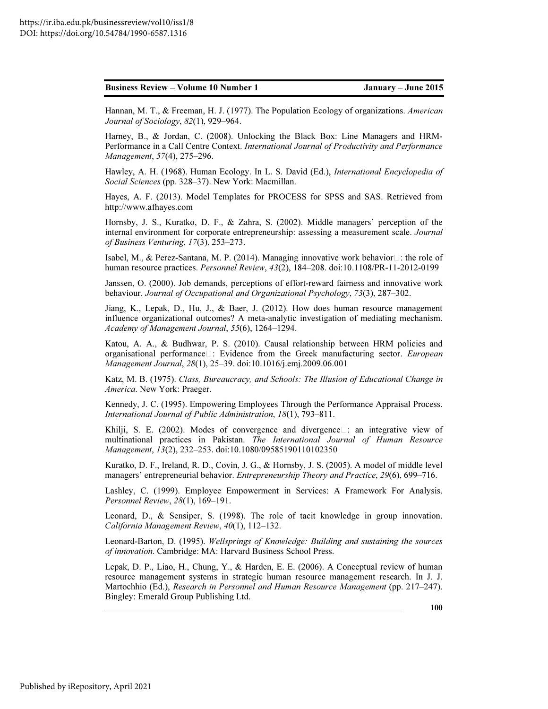Hannan, M. T., & Freeman, H. J. (1977). The Population Ecology of organizations. *American Journal of Sociology*, *82*(1), 929–964.

Harney, B., & Jordan, C. (2008). Unlocking the Black Box: Line Managers and HRM-Performance in a Call Centre Context. *International Journal of Productivity and Performance Management*, *57*(4), 275–296.

Hawley, A. H. (1968). Human Ecology. In L. S. David (Ed.), *International Encyclopedia of Social Sciences* (pp. 328–37). New York: Macmillan.

Hayes, A. F. (2013). Model Templates for PROCESS for SPSS and SAS. Retrieved from http://www.afhayes.com

Hornsby, J. S., Kuratko, D. F., & Zahra, S. (2002). Middle managers' perception of the internal environment for corporate entrepreneurship: assessing a measurement scale. *Journal of Business Venturing*, *17*(3), 253–273.

Isabel, M., & Perez-Santana, M. P. (2014). Managing innovative work behavior $\Box$ : the role of human resource practices. *Personnel Review*, *43*(2), 184–208. doi:10.1108/PR-11-2012-0199

Janssen, O. (2000). Job demands, perceptions of effort-reward fairness and innovative work behaviour. *Journal of Occupational and Organizational Psychology*, *73*(3), 287–302.

Jiang, K., Lepak, D., Hu, J., & Baer, J. (2012). How does human resource management influence organizational outcomes? A meta-analytic investigation of mediating mechanism. *Academy of Management Journal*, *55*(6), 1264–1294.

Katou, A. A., & Budhwar, P. S. (2010). Causal relationship between HRM policies and organisational performance<sup> $\Box$ </sup>: Evidence from the Greek manufacturing sector. *European Management Journal*, *28*(1), 25–39. doi:10.1016/j.emj.2009.06.001

Katz, M. B. (1975). *Class, Bureaucracy, and Schools: The Illusion of Educational Change in America*. New York: Praeger.

Kennedy, J. C. (1995). Empowering Employees Through the Performance Appraisal Process. *International Journal of Public Administration*, *18*(1), 793–811.

Khilji, S. E. (2002). Modes of convergence and divergence  $\Box$ : an integrative view of multinational practices in Pakistan. *The International Journal of Human Resource Management*, *13*(2), 232–253. doi:10.1080/09585190110102350

Kuratko, D. F., Ireland, R. D., Covin, J. G., & Hornsby, J. S. (2005). A model of middle level managers' entrepreneurial behavior. *Entrepreneurship Theory and Practice*, *29*(6), 699–716.

Lashley, C. (1999). Employee Empowerment in Services: A Framework For Analysis. *Personnel Review*, *28*(1), 169–191.

Leonard, D., & Sensiper, S. (1998). The role of tacit knowledge in group innovation. *California Management Review*, *40*(1), 112–132.

Leonard-Barton, D. (1995). *Wellsprings of Knowledge: Building and sustaining the sources of innovation*. Cambridge: MA: Harvard Business School Press.

Lepak, D. P., Liao, H., Chung, Y., & Harden, E. E. (2006). A Conceptual review of human resource management systems in strategic human resource management research. In J. J. Martochhio (Ed.), *Research in Personnel and Human Resource Management* (pp. 217–247). Bingley: Emerald Group Publishing Ltd.